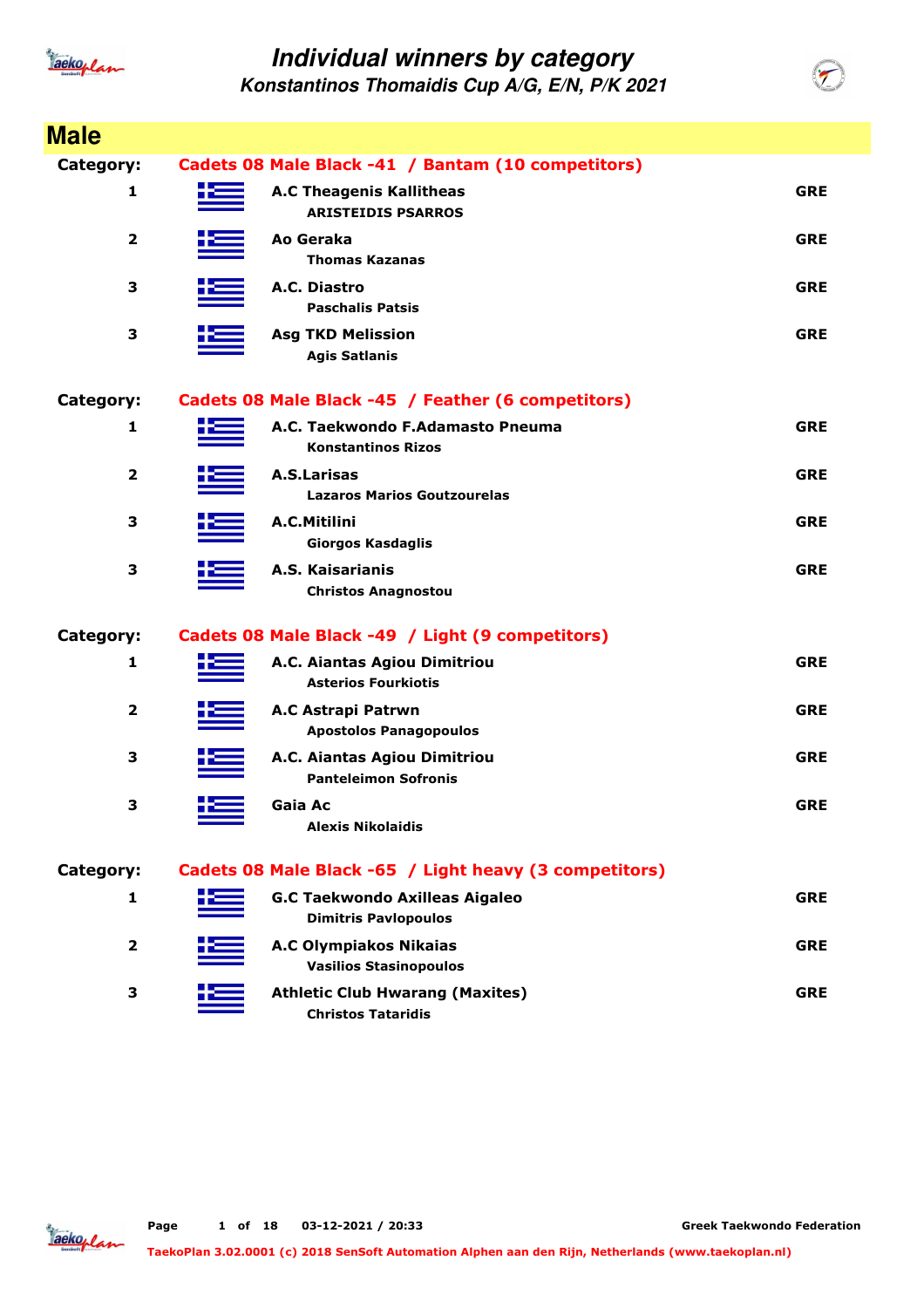

| <b>Male</b>             |                                                                      |            |
|-------------------------|----------------------------------------------------------------------|------------|
| Category:               | Cadets 08 Male Black -41 / Bantam (10 competitors)                   |            |
| 1                       | <b>A.C Theagenis Kallitheas</b><br><b>ARISTEIDIS PSARROS</b>         | <b>GRE</b> |
| 2                       | Ao Geraka<br><b>Thomas Kazanas</b>                                   | <b>GRE</b> |
| 3                       | A.C. Diastro<br><b>Paschalis Patsis</b>                              | <b>GRE</b> |
| 3                       | <b>Asg TKD Melission</b><br><b>Agis Satlanis</b>                     | <b>GRE</b> |
| Category:               | Cadets 08 Male Black -45 / Feather (6 competitors)                   |            |
| 1                       | A.C. Taekwondo F.Adamasto Pneuma<br><b>Konstantinos Rizos</b>        | <b>GRE</b> |
| 2                       | <b>A.S.Larisas</b><br><b>Lazaros Marios Goutzourelas</b>             | <b>GRE</b> |
| 3                       | A.C.Mitilini<br><b>Giorgos Kasdaglis</b>                             | <b>GRE</b> |
| 3                       | A.S. Kaisarianis<br><b>Christos Anagnostou</b>                       | <b>GRE</b> |
| Category:               | Cadets 08 Male Black -49 / Light (9 competitors)                     |            |
| 1                       | A.C. Aiantas Agiou Dimitriou<br><b>Asterios Fourkiotis</b>           | <b>GRE</b> |
| $\overline{\mathbf{2}}$ | A.C Astrapi Patrwn<br><b>Apostolos Panagopoulos</b>                  | <b>GRE</b> |
| 3                       | A.C. Aiantas Agiou Dimitriou<br><b>Panteleimon Sofronis</b>          | <b>GRE</b> |
| з                       | Gaia Ac<br><b>Alexis Nikolaidis</b>                                  | <b>GRE</b> |
| Category:               | Cadets 08 Male Black -65 / Light heavy (3 competitors)               |            |
| 1                       | <b>G.C Taekwondo Axilleas Aigaleo</b><br><b>Dimitris Pavlopoulos</b> | <b>GRE</b> |
| $\overline{2}$          | <b>A.C Olympiakos Nikaias</b><br><b>Vasilios Stasinopoulos</b>       | <b>GRE</b> |
| 3                       | <b>Athletic Club Hwarang (Maxites)</b><br><b>Christos Tataridis</b>  | <b>GRE</b> |

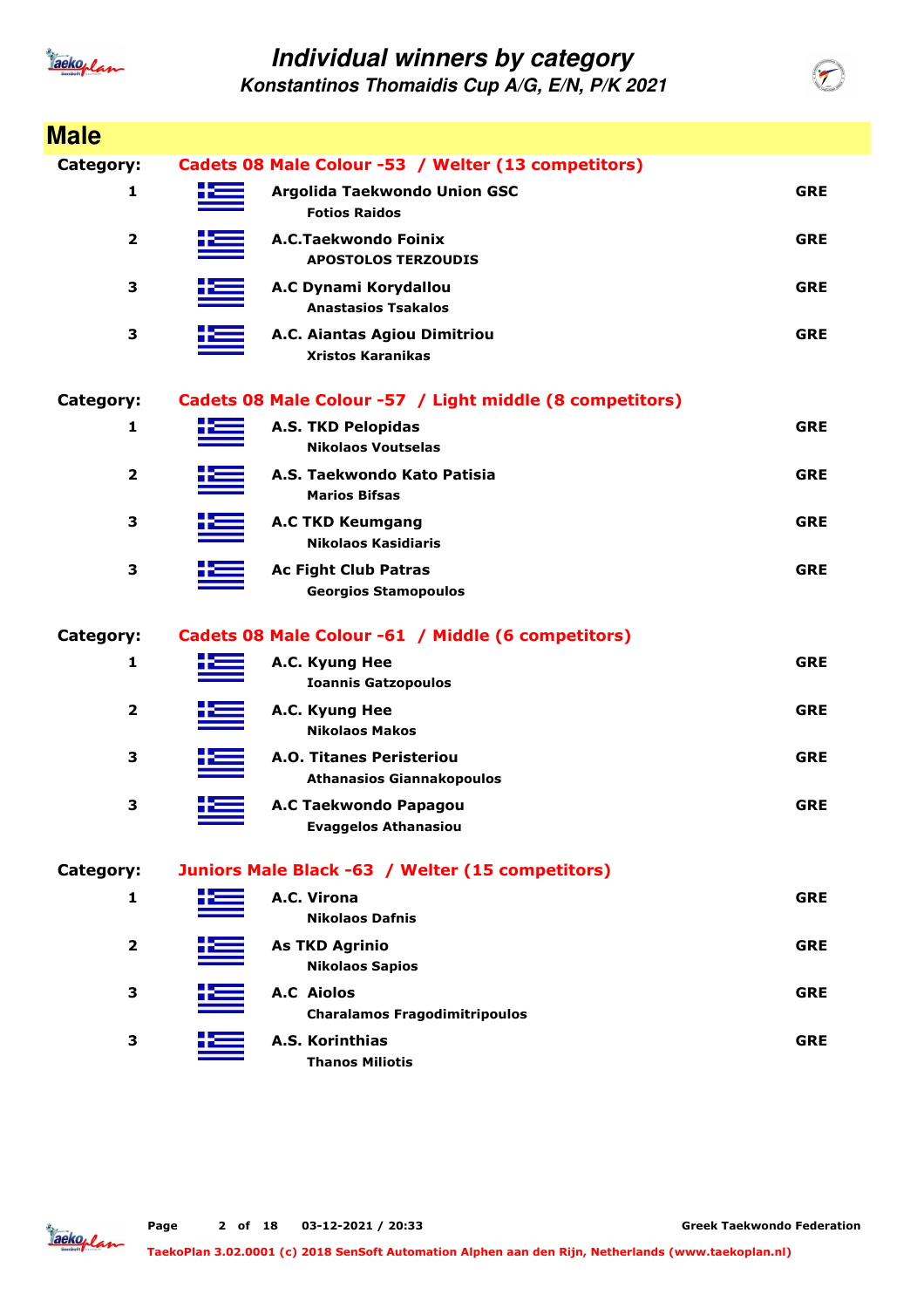

**Konstantinos Thomaidis Cup A/G, E/N, P/K 2021**

| <b>Male</b>             |     |                                                                     |            |
|-------------------------|-----|---------------------------------------------------------------------|------------|
| Category:               |     | Cadets 08 Male Colour -53 / Welter (13 competitors)                 |            |
| 1                       |     | Argolida Taekwondo Union GSC<br><b>Fotios Raidos</b>                | <b>GRE</b> |
| $\overline{\mathbf{2}}$ |     | A.C.Taekwondo Foinix<br><b>APOSTOLOS TERZOUDIS</b>                  | <b>GRE</b> |
| 3                       |     | A.C Dynami Korydallou<br><b>Anastasios Tsakalos</b>                 | <b>GRE</b> |
| 3                       |     | A.C. Aiantas Agiou Dimitriou<br><b>Xristos Karanikas</b>            | <b>GRE</b> |
| Category:               |     | Cadets 08 Male Colour -57 / Light middle (8 competitors)            |            |
| 1                       |     | <b>A.S. TKD Pelopidas</b><br><b>Nikolaos Voutselas</b>              | <b>GRE</b> |
| $\overline{\mathbf{2}}$ |     | A.S. Taekwondo Kato Patisia<br><b>Marios Bifsas</b>                 | <b>GRE</b> |
| 3                       |     | <b>A.C TKD Keumgang</b><br><b>Nikolaos Kasidiaris</b>               | <b>GRE</b> |
| 3                       |     | <b>Ac Fight Club Patras</b><br><b>Georgios Stamopoulos</b>          | <b>GRE</b> |
| Category:               |     | Cadets 08 Male Colour -61 / Middle (6 competitors)                  |            |
| 1                       |     | A.C. Kyung Hee<br><b>Ioannis Gatzopoulos</b>                        | <b>GRE</b> |
| $\overline{\mathbf{2}}$ |     | A.C. Kyung Hee<br><b>Nikolaos Makos</b>                             | <b>GRE</b> |
| 3                       |     | <b>A.O. Titanes Peristeriou</b><br><b>Athanasios Giannakopoulos</b> | <b>GRE</b> |
| 3                       | ╋══ | A.C Taekwondo Papagou<br><b>Evaggelos Athanasiou</b>                | <b>GRE</b> |
| Category:               |     | Juniors Male Black -63 / Welter (15 competitors)                    |            |
| 1                       |     | A.C. Virona<br><b>Nikolaos Dafnis</b>                               | <b>GRE</b> |
| $\mathbf{2}$            |     | <b>As TKD Agrinio</b><br><b>Nikolaos Sapios</b>                     | <b>GRE</b> |
| 3                       |     | <b>A.C</b> Aiolos<br><b>Charalamos Fragodimitripoulos</b>           | <b>GRE</b> |
| 3                       |     | A.S. Korinthias<br><b>Thanos Miliotis</b>                           | <b>GRE</b> |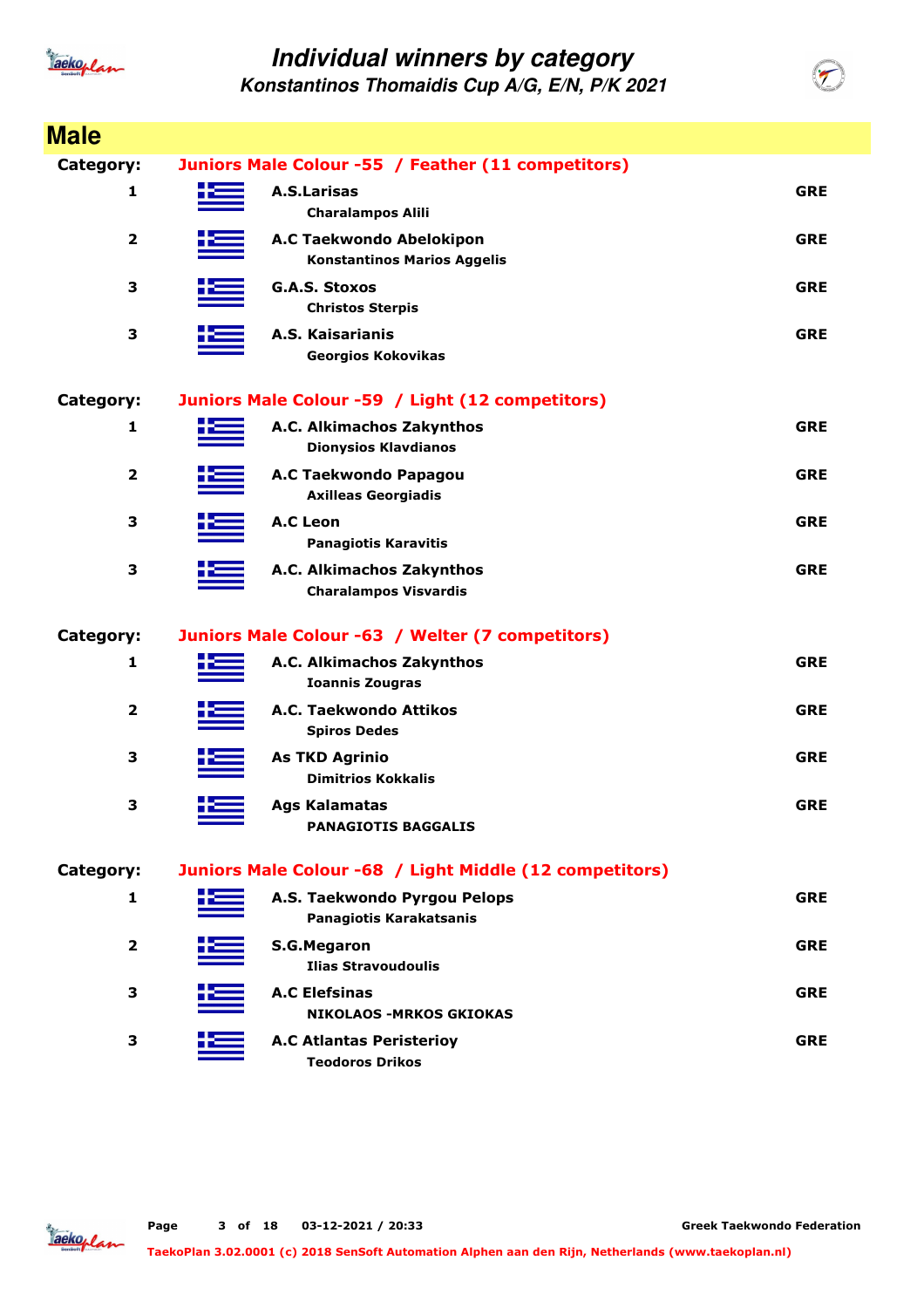

**Konstantinos Thomaidis Cup A/G, E/N, P/K 2021**

| <b>Male</b>             |     |                                                                |            |
|-------------------------|-----|----------------------------------------------------------------|------------|
| Category:               |     | Juniors Male Colour -55 / Feather (11 competitors)             |            |
| 1                       | ک د | <b>A.S.Larisas</b><br><b>Charalampos Alili</b>                 | <b>GRE</b> |
| $\overline{\mathbf{2}}$ |     | A.C Taekwondo Abelokipon<br><b>Konstantinos Marios Aggelis</b> | <b>GRE</b> |
| 3                       |     | <b>G.A.S. Stoxos</b><br><b>Christos Sterpis</b>                | <b>GRE</b> |
| 3                       |     | A.S. Kaisarianis<br><b>Georgios Kokovikas</b>                  | <b>GRE</b> |
| Category:               |     | Juniors Male Colour -59 / Light (12 competitors)               |            |
| 1                       |     | A.C. Alkimachos Zakynthos<br><b>Dionysios Klavdianos</b>       | <b>GRE</b> |
| $\overline{\mathbf{2}}$ |     | A.C Taekwondo Papagou<br><b>Axilleas Georgiadis</b>            | <b>GRE</b> |
| З                       |     | <b>A.C Leon</b><br><b>Panagiotis Karavitis</b>                 | <b>GRE</b> |
| 3                       |     | A.C. Alkimachos Zakynthos<br><b>Charalampos Visvardis</b>      | <b>GRE</b> |
| Category:               |     | Juniors Male Colour -63 / Welter (7 competitors)               |            |
| 1                       |     | A.C. Alkimachos Zakynthos<br><b>Ioannis Zougras</b>            | <b>GRE</b> |
| $\overline{\mathbf{2}}$ |     | A.C. Taekwondo Attikos<br><b>Spiros Dedes</b>                  | <b>GRE</b> |
| 3                       |     | <b>As TKD Agrinio</b><br><b>Dimitrios Kokkalis</b>             | <b>GRE</b> |
| 3                       |     | <b>Ags Kalamatas</b><br><b>PANAGIOTIS BAGGALIS</b>             | <b>GRE</b> |
| Category:               |     | Juniors Male Colour -68 / Light Middle (12 competitors)        |            |
| 1                       |     | A.S. Taekwondo Pyrgou Pelops<br>Panagiotis Karakatsanis        | <b>GRE</b> |
| 2                       |     | <b>S.G.Megaron</b><br><b>Ilias Stravoudoulis</b>               | <b>GRE</b> |
| З                       |     | <b>A.C Elefsinas</b><br><b>NIKOLAOS -MRKOS GKIOKAS</b>         | <b>GRE</b> |
| 3                       |     | <b>A.C Atlantas Peristerioy</b><br><b>Teodoros Drikos</b>      | <b>GRE</b> |

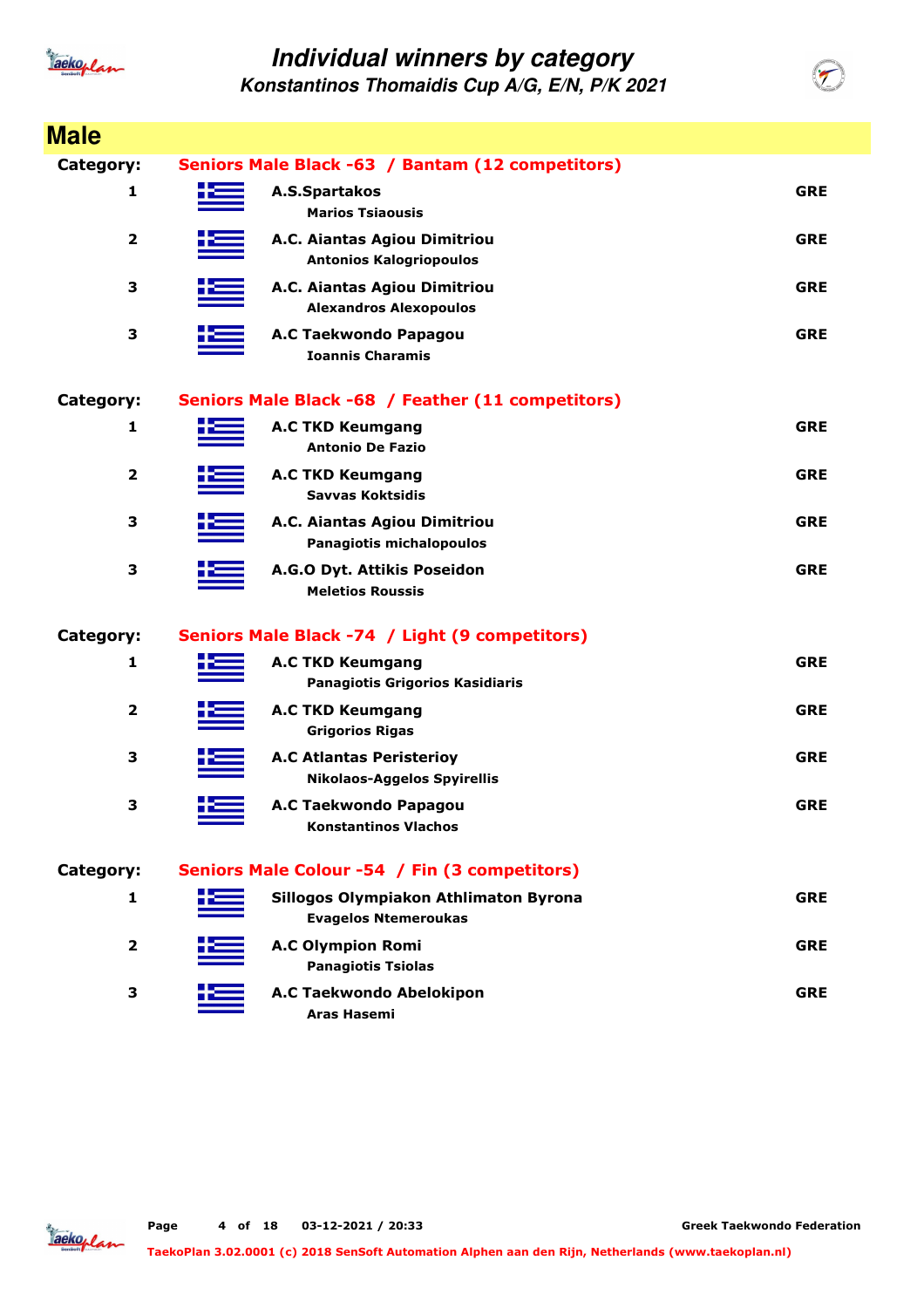

| <b>Male</b>             |       |                                                                       |            |
|-------------------------|-------|-----------------------------------------------------------------------|------------|
| Category:               |       | Seniors Male Black -63 / Bantam (12 competitors)                      |            |
| 1                       | n dên | A.S.Spartakos<br><b>Marios Tsiaousis</b>                              | <b>GRE</b> |
| $\overline{\mathbf{2}}$ |       | A.C. Aiantas Agiou Dimitriou<br><b>Antonios Kalogriopoulos</b>        | <b>GRE</b> |
| 3                       |       | A.C. Aiantas Agiou Dimitriou<br><b>Alexandros Alexopoulos</b>         | <b>GRE</b> |
| 3                       |       | A.C Taekwondo Papagou<br><b>Ioannis Charamis</b>                      | <b>GRE</b> |
| Category:               |       | Seniors Male Black -68 / Feather (11 competitors)                     |            |
| 1                       |       | <b>A.C TKD Keumgang</b><br><b>Antonio De Fazio</b>                    | <b>GRE</b> |
| $\overline{\mathbf{2}}$ |       | <b>A.C TKD Keumgang</b><br><b>Savvas Koktsidis</b>                    | <b>GRE</b> |
| З                       |       | A.C. Aiantas Agiou Dimitriou<br>Panagiotis michalopoulos              | <b>GRE</b> |
| 3                       |       | A.G.O Dyt. Attikis Poseidon<br><b>Meletios Roussis</b>                | <b>GRE</b> |
| Category:               |       | Seniors Male Black -74 / Light (9 competitors)                        |            |
| 1                       |       | <b>A.C TKD Keumgang</b><br><b>Panagiotis Grigorios Kasidiaris</b>     | <b>GRE</b> |
| $\overline{\mathbf{2}}$ |       | <b>A.C TKD Keumgang</b><br><b>Grigorios Rigas</b>                     | <b>GRE</b> |
| 3                       |       | <b>A.C Atlantas Peristeriov</b><br><b>Nikolaos-Aggelos Spyirellis</b> | <b>GRE</b> |
| 3                       |       | A.C Taekwondo Papagou<br><b>Konstantinos Vlachos</b>                  | <b>GRE</b> |
| Category:               |       | Seniors Male Colour -54 / Fin (3 competitors)                         |            |
| 1                       |       | Sillogos Olympiakon Athlimaton Byrona<br><b>Evagelos Ntemeroukas</b>  | <b>GRE</b> |
| 2                       |       | <b>A.C Olympion Romi</b><br><b>Panagiotis Tsiolas</b>                 | <b>GRE</b> |
| З                       |       | A.C Taekwondo Abelokipon<br>Aras Hasemi                               | <b>GRE</b> |

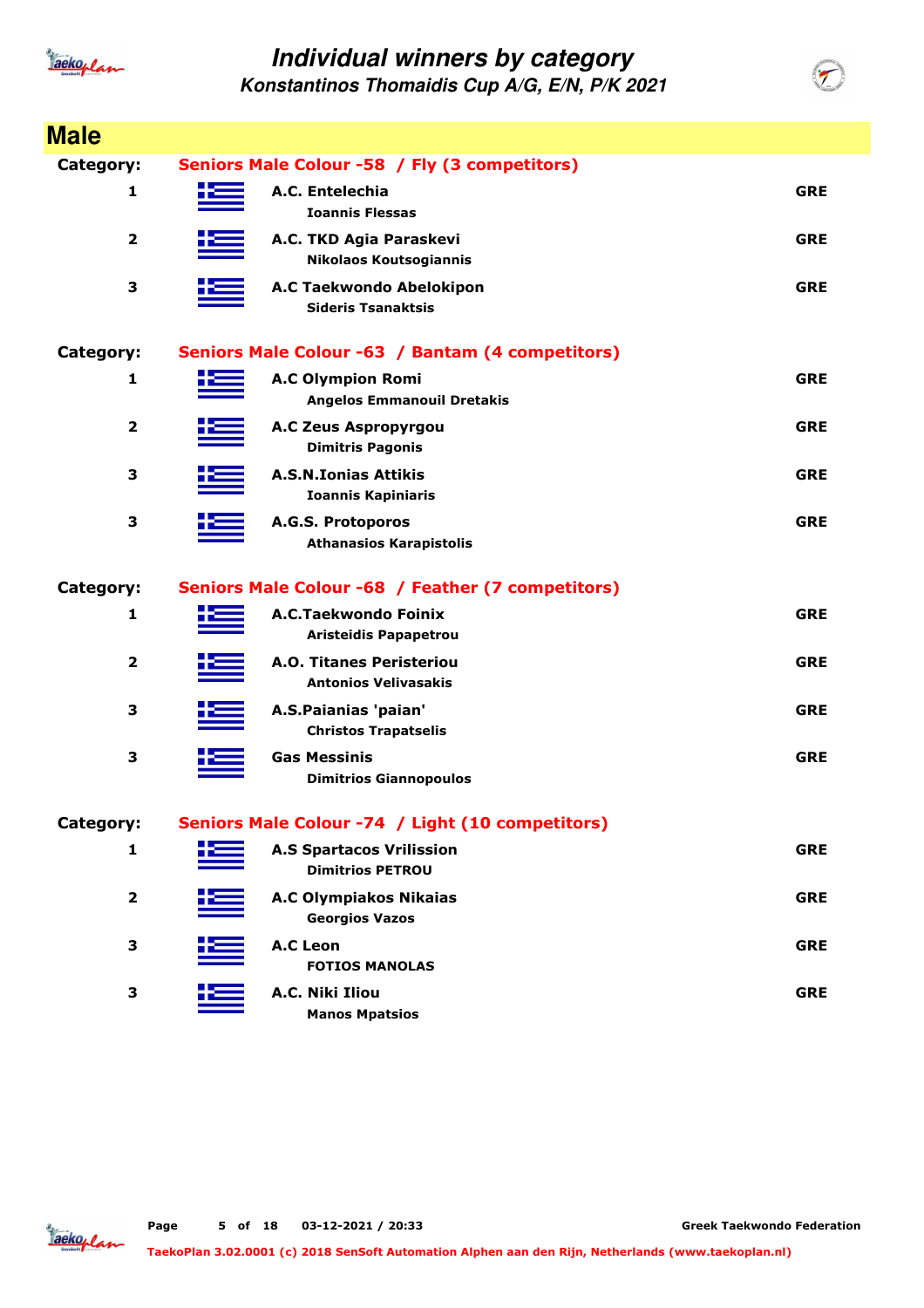

**Konstantinos Thomaidis Cup A/G, E/N, P/K 2021**

| <b>Male</b>             |                                                                |            |
|-------------------------|----------------------------------------------------------------|------------|
| <b>Category:</b>        | Seniors Male Colour -58 / Fly (3 competitors)                  |            |
| 1                       | A.C. Entelechia<br><b>Ioannis Flessas</b>                      | <b>GRE</b> |
| $\overline{\mathbf{2}}$ | A.C. TKD Agia Paraskevi<br><b>Nikolaos Koutsogiannis</b>       | <b>GRE</b> |
| 3                       | A.C Taekwondo Abelokipon<br><b>Sideris Tsanaktsis</b>          | <b>GRE</b> |
| <b>Category:</b>        | Seniors Male Colour -63 / Bantam (4 competitors)               |            |
| 1                       | <b>A.C Olympion Romi</b><br><b>Angelos Emmanouil Dretakis</b>  | <b>GRE</b> |
| $\overline{\mathbf{2}}$ | <b>A.C Zeus Aspropyrgou</b><br><b>Dimitris Pagonis</b>         | <b>GRE</b> |
| 3                       | <b>A.S.N.Ionias Attikis</b><br><b>Ioannis Kapiniaris</b>       | <b>GRE</b> |
| 3                       | A.G.S. Protoporos<br><b>Athanasios Karapistolis</b>            | <b>GRE</b> |
| <b>Category:</b>        | Seniors Male Colour -68 / Feather (7 competitors)              |            |
| $\mathbf{1}$            | A.C.Taekwondo Foinix<br><b>Aristeidis Papapetrou</b>           | <b>GRE</b> |
| $\overline{\mathbf{2}}$ | <b>A.O. Titanes Peristeriou</b><br><b>Antonios Velivasakis</b> | <b>GRE</b> |
| З                       | A.S.Paianias 'paian'<br><b>Christos Trapatselis</b>            | <b>GRE</b> |
| 3                       | <b>Gas Messinis</b><br><b>Dimitrios Giannopoulos</b>           | <b>GRE</b> |
| Category:               | Seniors Male Colour -74 / Light (10 competitors)               |            |
| 1                       | <b>A.S Spartacos Vrilission</b><br><b>Dimitrios PETROU</b>     | <b>GRE</b> |
| 2                       | <b>A.C Olympiakos Nikaias</b><br><b>Georgios Vazos</b>         | <b>GRE</b> |
| 3                       | <b>A.C Leon</b><br><b>FOTIOS MANOLAS</b>                       | <b>GRE</b> |
| 3                       | A.C. Niki Iliou<br><b>Manos Mpatsios</b>                       | <b>GRE</b> |

Jackoplan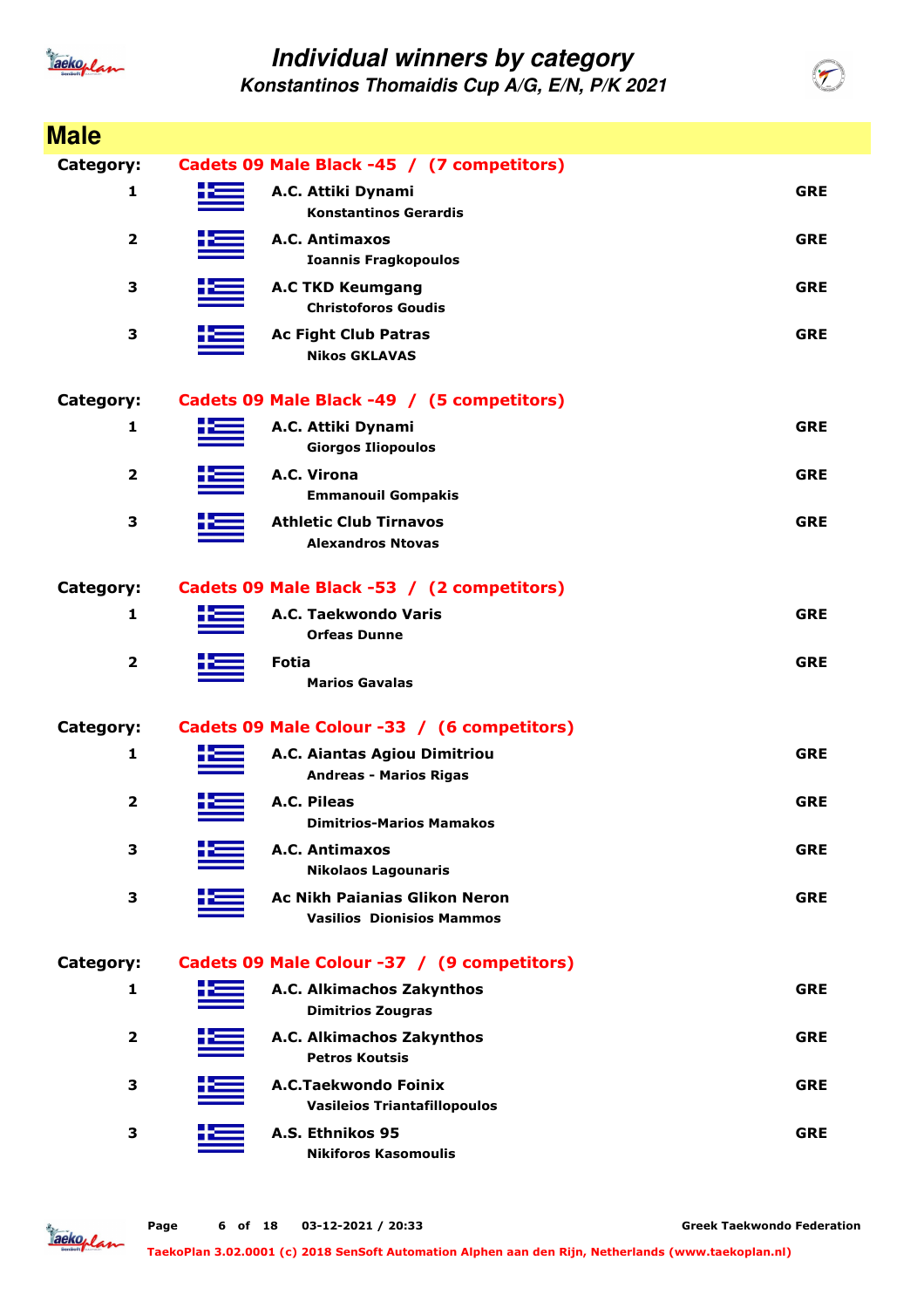

**Konstantinos Thomaidis Cup A/G, E/N, P/K 2021**

| <b>Male</b>             |                                                                          |            |
|-------------------------|--------------------------------------------------------------------------|------------|
| Category:               | Cadets 09 Male Black -45 / (7 competitors)                               |            |
| 1                       | A.C. Attiki Dynami<br><b>Konstantinos Gerardis</b>                       | <b>GRE</b> |
| $\overline{\mathbf{2}}$ | A.C. Antimaxos<br><b>Ioannis Fragkopoulos</b>                            | <b>GRE</b> |
| 3                       | <b>A.C TKD Keumgang</b><br><b>Christoforos Goudis</b>                    | <b>GRE</b> |
| 3                       | <b>Ac Fight Club Patras</b><br><b>Nikos GKLAVAS</b>                      | <b>GRE</b> |
| Category:               | Cadets 09 Male Black -49 / (5 competitors)                               |            |
| $\mathbf{1}$            | A.C. Attiki Dynami<br><b>Giorgos Iliopoulos</b>                          | <b>GRE</b> |
| $\overline{\mathbf{2}}$ | A.C. Virona<br><b>Emmanouil Gompakis</b>                                 | <b>GRE</b> |
| 3                       | <b>Athletic Club Tirnavos</b><br><b>Alexandros Ntovas</b>                | <b>GRE</b> |
| Category:               | Cadets 09 Male Black -53 / (2 competitors)                               |            |
| $\mathbf{1}$            | A.C. Taekwondo Varis<br><b>Orfeas Dunne</b>                              | <b>GRE</b> |
| $\overline{\mathbf{2}}$ | Fotia<br><b>Marios Gavalas</b>                                           | <b>GRE</b> |
| <b>Category:</b>        | Cadets 09 Male Colour -33 / (6 competitors)                              |            |
| 1                       | A.C. Aiantas Agiou Dimitriou<br><b>Andreas - Marios Rigas</b>            | <b>GRE</b> |
| $\overline{\mathbf{2}}$ | A.C. Pileas<br>Dimitrios-Marios Mamakos                                  | <b>GRE</b> |
| 3                       | A.C. Antimaxos<br><b>Nikolaos Lagounaris</b>                             | <b>GRE</b> |
| 3                       | <b>Ac Nikh Paianias Glikon Neron</b><br><b>Vasilios Dionisios Mammos</b> | <b>GRE</b> |
| <b>Category:</b>        | Cadets 09 Male Colour -37 / (9 competitors)                              |            |
| 1                       | A.C. Alkimachos Zakynthos<br><b>Dimitrios Zougras</b>                    | <b>GRE</b> |
| $\overline{\mathbf{2}}$ | A.C. Alkimachos Zakynthos<br><b>Petros Koutsis</b>                       | <b>GRE</b> |
| 3                       | A.C.Taekwondo Foinix<br><b>Vasileios Triantafillopoulos</b>              | <b>GRE</b> |
| 3                       | A.S. Ethnikos 95<br><b>Nikiforos Kasomoulis</b>                          | <b>GRE</b> |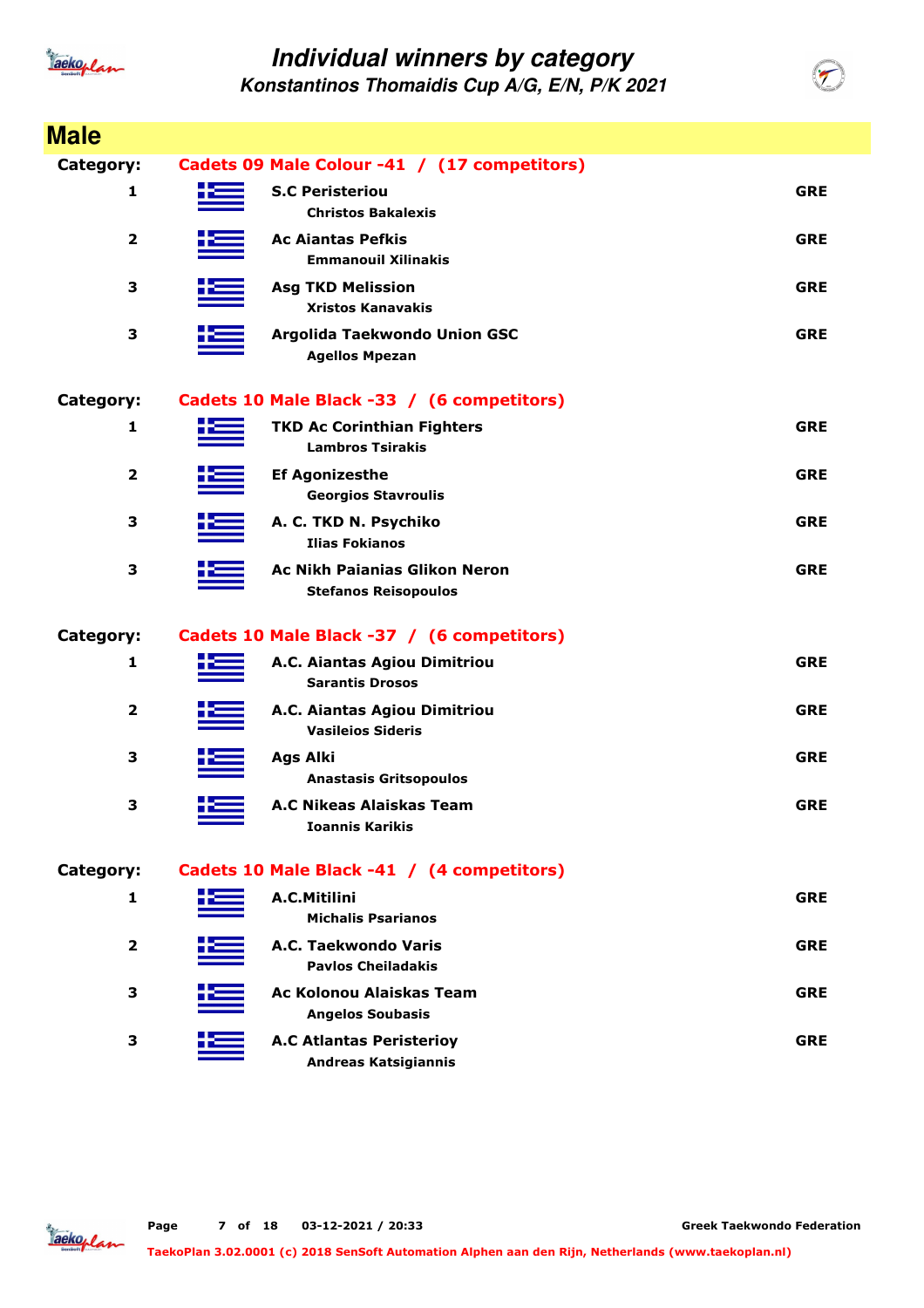

**Konstantinos Thomaidis Cup A/G, E/N, P/K 2021**

| <b>Male</b>             |                                                                     |            |
|-------------------------|---------------------------------------------------------------------|------------|
| <b>Category:</b>        | Cadets 09 Male Colour -41 / (17 competitors)                        |            |
| 1                       | <b>S.C Peristeriou</b><br><b>Christos Bakalexis</b>                 | <b>GRE</b> |
| $\overline{2}$          | <b>Ac Aiantas Pefkis</b><br><b>Emmanouil Xilinakis</b>              | <b>GRE</b> |
| 3                       | <b>Asg TKD Melission</b><br><b>Xristos Kanavakis</b>                | <b>GRE</b> |
| 3                       | Argolida Taekwondo Union GSC<br><b>Agellos Mpezan</b>               | <b>GRE</b> |
| Category:               | Cadets 10 Male Black -33 / (6 competitors)                          |            |
| 1                       | <b>TKD Ac Corinthian Fighters</b><br><b>Lambros Tsirakis</b>        | <b>GRE</b> |
| $\overline{2}$          | <b>Ef Agonizesthe</b><br><b>Georgios Stavroulis</b>                 | <b>GRE</b> |
| 3                       | A. C. TKD N. Psychiko<br><b>Ilias Fokianos</b>                      | <b>GRE</b> |
| 3                       | <b>Ac Nikh Paianias Glikon Neron</b><br><b>Stefanos Reisopoulos</b> | <b>GRE</b> |
| Category:               | Cadets 10 Male Black -37 / (6 competitors)                          |            |
| 1                       | A.C. Aiantas Agiou Dimitriou<br><b>Sarantis Drosos</b>              | <b>GRE</b> |
| $\overline{\mathbf{2}}$ | A.C. Aiantas Agiou Dimitriou<br><b>Vasileios Sideris</b>            | <b>GRE</b> |
| 3                       | <b>Ags Alki</b><br><b>Anastasis Gritsopoulos</b>                    | <b>GRE</b> |
| 3                       | A.C Nikeas Alaiskas Team<br><b>Ioannis Karikis</b>                  | <b>GRE</b> |
| Category:               | Cadets 10 Male Black -41 / (4 competitors)                          |            |
| 1                       | A.C.Mitilini<br><b>Michalis Psarianos</b>                           | <b>GRE</b> |
| $\overline{\mathbf{2}}$ | A.C. Taekwondo Varis<br><b>Pavlos Cheiladakis</b>                   | <b>GRE</b> |
| 3                       | <b>Ac Kolonou Alaiskas Team</b><br><b>Angelos Soubasis</b>          | <b>GRE</b> |
| З                       | <b>A.C Atlantas Peristerioy</b><br><b>Andreas Katsigiannis</b>      | <b>GRE</b> |

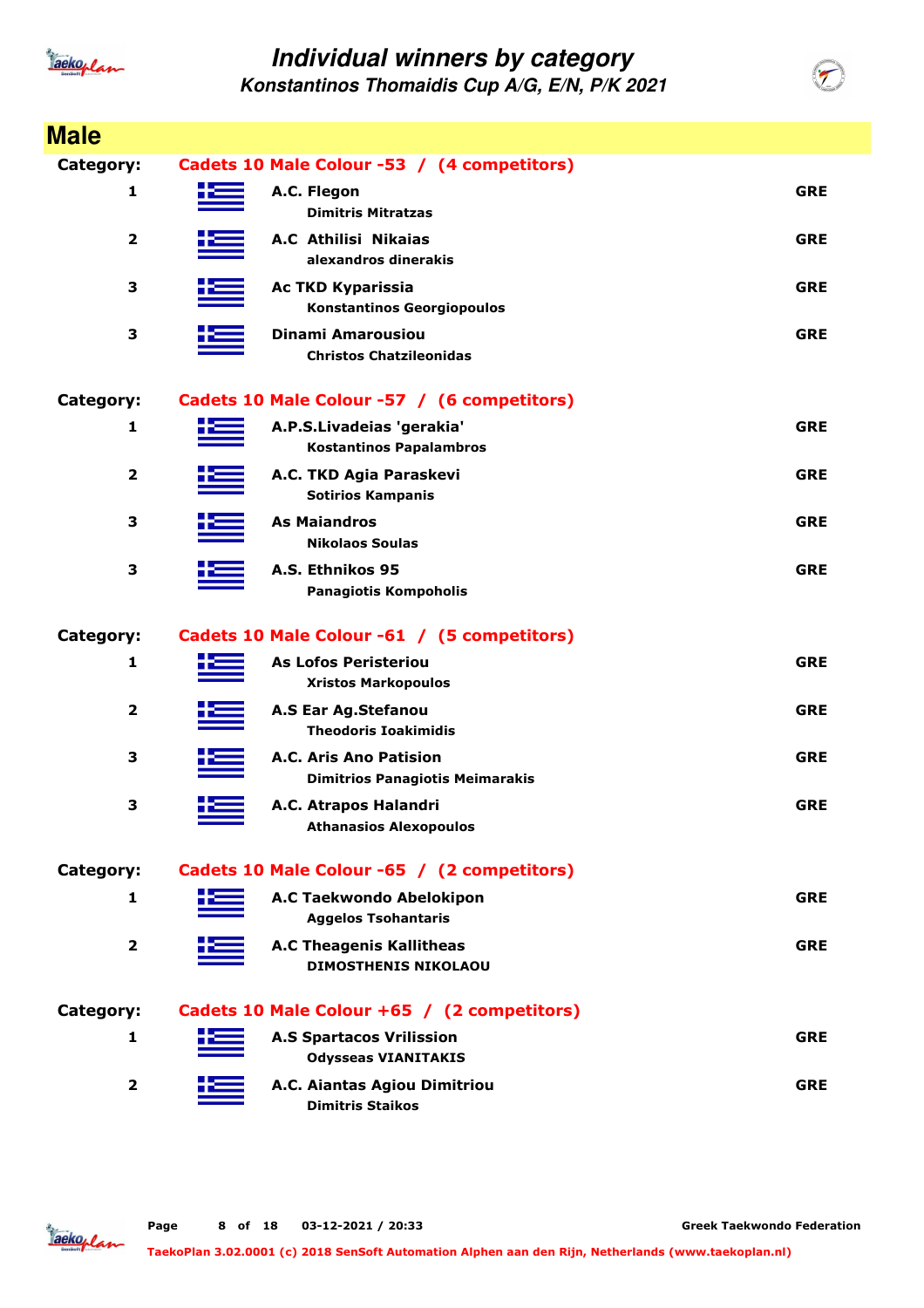

| <b>Male</b>             |                                                                  |            |
|-------------------------|------------------------------------------------------------------|------------|
| Category:               | Cadets 10 Male Colour -53 / (4 competitors)                      |            |
| 1                       | A.C. Flegon<br><b>Dimitris Mitratzas</b>                         | <b>GRE</b> |
| $\mathbf{2}$            | A.C Athilisi Nikaias<br>alexandros dinerakis                     | <b>GRE</b> |
| 3                       | <b>Ac TKD Kyparissia</b><br><b>Konstantinos Georgiopoulos</b>    | <b>GRE</b> |
| 3                       | <b>Dinami Amarousiou</b><br><b>Christos Chatzileonidas</b>       | <b>GRE</b> |
| Category:               | Cadets 10 Male Colour -57 / (6 competitors)                      |            |
| 1                       | A.P.S.Livadeias 'gerakia'<br><b>Kostantinos Papalambros</b>      | <b>GRE</b> |
| $\overline{\mathbf{2}}$ | A.C. TKD Agia Paraskevi<br><b>Sotirios Kampanis</b>              | <b>GRE</b> |
| 3                       | <b>As Maiandros</b><br><b>Nikolaos Soulas</b>                    | <b>GRE</b> |
| 3                       | A.S. Ethnikos 95<br><b>Panagiotis Kompoholis</b>                 | <b>GRE</b> |
| Category:               | Cadets 10 Male Colour -61 / (5 competitors)                      |            |
| 1                       | <b>As Lofos Peristeriou</b><br><b>Xristos Markopoulos</b>        | <b>GRE</b> |
| $\overline{2}$          | A.S Ear Ag.Stefanou<br><b>Theodoris Ioakimidis</b>               | <b>GRE</b> |
| 3                       | A.C. Aris Ano Patision<br><b>Dimitrios Panagiotis Meimarakis</b> | <b>GRE</b> |
| 3                       | A.C. Atrapos Halandri<br><b>Athanasios Alexopoulos</b>           | <b>GRE</b> |
| Category:               | Cadets 10 Male Colour -65 / (2 competitors)                      |            |
| 1                       | A.C Taekwondo Abelokipon<br><b>Aggelos Tsohantaris</b>           | <b>GRE</b> |
| $\mathbf{2}$            | <b>A.C Theagenis Kallitheas</b><br><b>DIMOSTHENIS NIKOLAOU</b>   | <b>GRE</b> |
| Category:               | Cadets 10 Male Colour +65 / (2 competitors)                      |            |
| 1                       | <b>A.S Spartacos Vrilission</b><br><b>Odysseas VIANITAKIS</b>    | <b>GRE</b> |
| $\overline{2}$          | A.C. Aiantas Agiou Dimitriou<br><b>Dimitris Staikos</b>          | <b>GRE</b> |

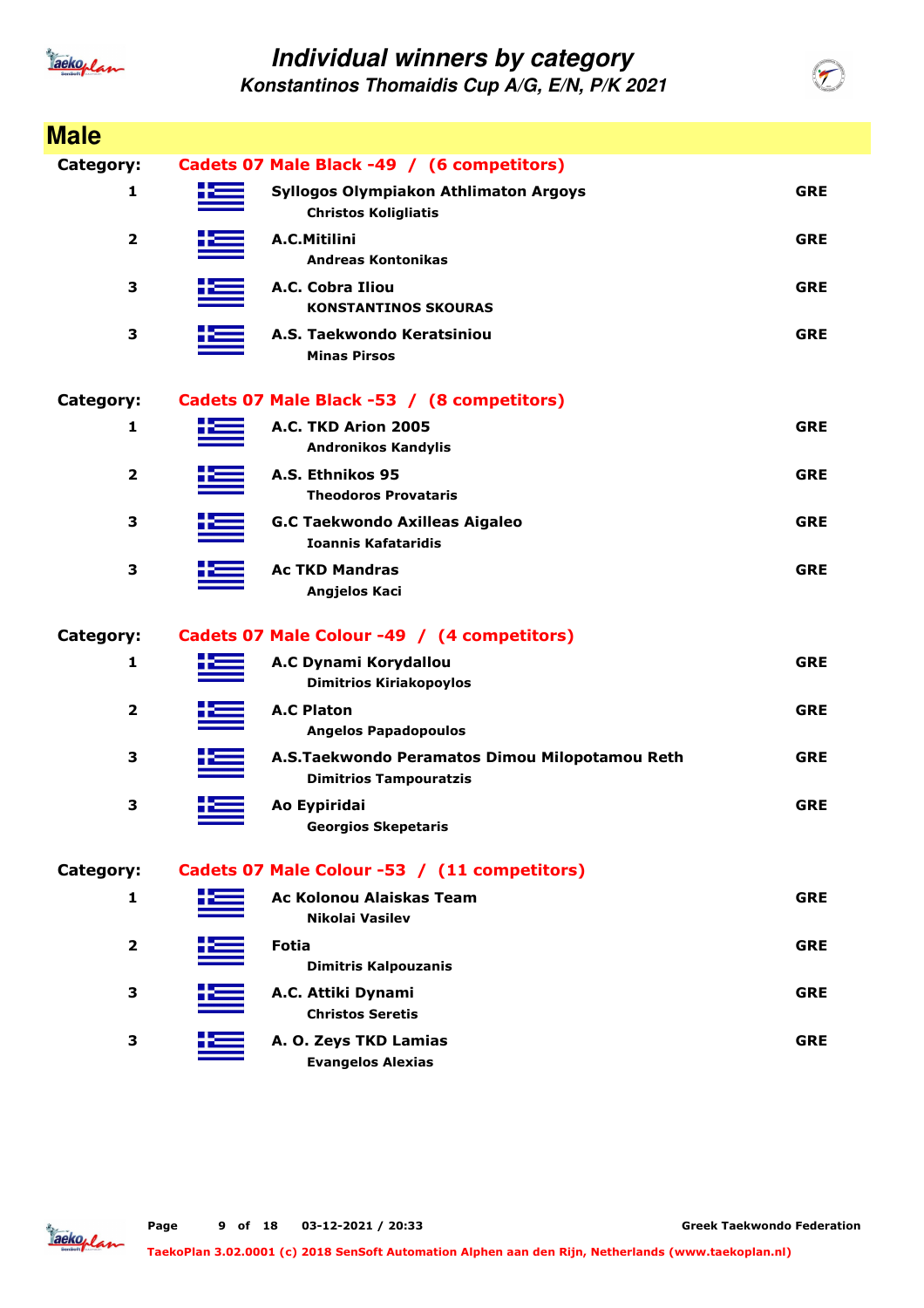

| <b>Male</b>             |                                                                                 |            |
|-------------------------|---------------------------------------------------------------------------------|------------|
| Category:               | Cadets 07 Male Black -49 / (6 competitors)                                      |            |
| 1                       | Syllogos Olympiakon Athlimaton Argoys<br><b>Christos Koligliatis</b>            | <b>GRE</b> |
| $\overline{\mathbf{2}}$ | A.C.Mitilini<br><b>Andreas Kontonikas</b>                                       | <b>GRE</b> |
| 3                       | A.C. Cobra Iliou<br><b>KONSTANTINOS SKOURAS</b>                                 | <b>GRE</b> |
| 3                       | A.S. Taekwondo Keratsiniou<br><b>Minas Pirsos</b>                               | <b>GRE</b> |
| Category:               | Cadets 07 Male Black -53 / (8 competitors)                                      |            |
| 1                       | A.C. TKD Arion 2005<br><b>Andronikos Kandylis</b>                               | <b>GRE</b> |
| $\overline{\mathbf{2}}$ | A.S. Ethnikos 95<br><b>Theodoros Provataris</b>                                 | <b>GRE</b> |
| 3                       | <b>G.C Taekwondo Axilleas Aigaleo</b><br><b>Ioannis Kafataridis</b>             | <b>GRE</b> |
| 3                       | <b>Ac TKD Mandras</b><br>Angjelos Kaci                                          | <b>GRE</b> |
| Category:               | Cadets 07 Male Colour -49 / (4 competitors)                                     |            |
| 1                       | A.C Dynami Korydallou<br><b>Dimitrios Kiriakopoylos</b>                         | <b>GRE</b> |
| $\overline{\mathbf{2}}$ | <b>A.C Platon</b><br><b>Angelos Papadopoulos</b>                                | <b>GRE</b> |
| 3                       | A.S.Taekwondo Peramatos Dimou Milopotamou Reth<br><b>Dimitrios Tampouratzis</b> | <b>GRE</b> |
| 3                       | Ao Eypiridai<br><b>Georgios Skepetaris</b>                                      | <b>GRE</b> |
| Category:               | Cadets 07 Male Colour -53 / (11 competitors)                                    |            |
| 1                       | Ac Kolonou Alaiskas Team<br>Nikolai Vasilev                                     | <b>GRE</b> |
| $\overline{\mathbf{2}}$ | <b>Fotia</b><br><b>Dimitris Kalpouzanis</b>                                     | <b>GRE</b> |
| 3                       | A.C. Attiki Dynami<br><b>Christos Seretis</b>                                   | <b>GRE</b> |
| 3                       | A. O. Zeys TKD Lamias<br><b>Evangelos Alexias</b>                               | <b>GRE</b> |

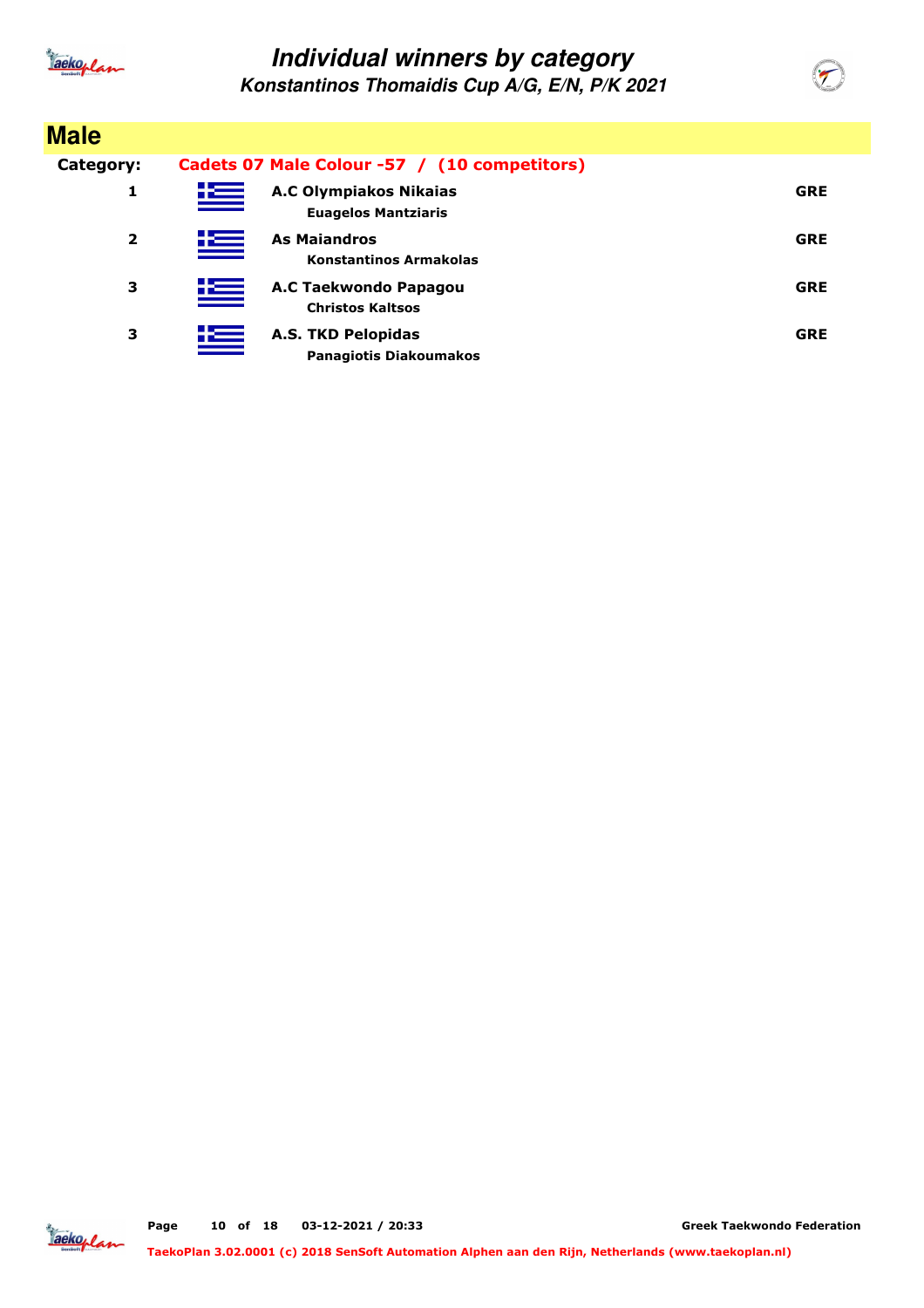

**Konstantinos Thomaidis Cup A/G, E/N, P/K 2021**

| <b>Male</b>             |   |                                                             |            |  |
|-------------------------|---|-------------------------------------------------------------|------------|--|
| Category:               |   | Cadets 07 Male Colour -57 / (10 competitors)                |            |  |
| 1                       | 些 | <b>A.C Olympiakos Nikaias</b><br><b>Euagelos Mantziaris</b> | <b>GRE</b> |  |
| $\overline{\mathbf{2}}$ | 些 | <b>As Maiandros</b><br><b>Konstantinos Armakolas</b>        | <b>GRE</b> |  |
| з                       | 些 | A.C Taekwondo Papagou<br><b>Christos Kaltsos</b>            | <b>GRE</b> |  |
| 3                       | 些 | <b>A.S. TKD Pelopidas</b><br><b>Panagiotis Diakoumakos</b>  | <b>GRE</b> |  |

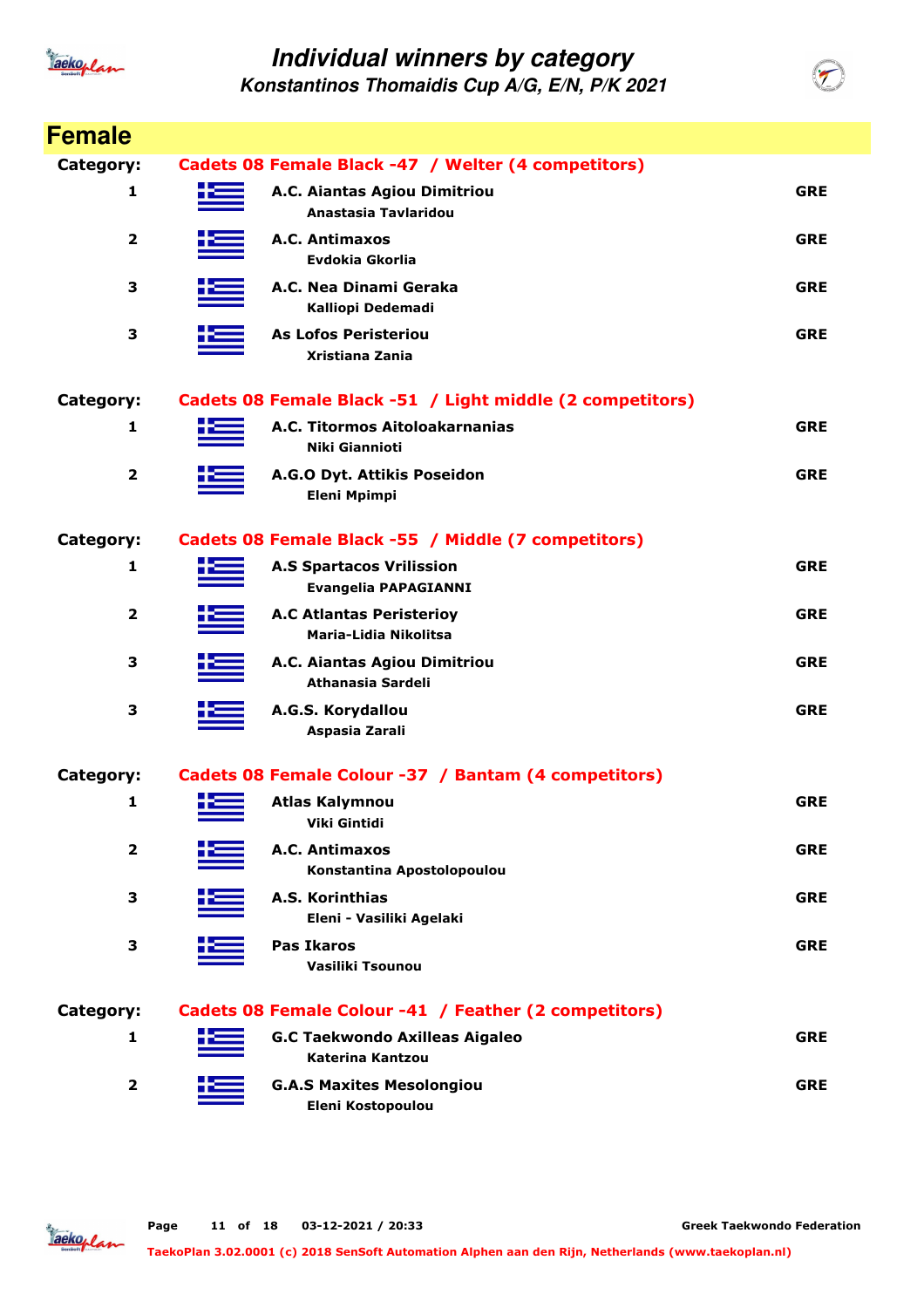

**Konstantinos Thomaidis Cup A/G, E/N, P/K 2021**

| <b>Female</b>    |      |                                                                |            |
|------------------|------|----------------------------------------------------------------|------------|
| Category:        |      | Cadets 08 Female Black -47 / Welter (4 competitors)            |            |
| 1                |      | A.C. Aiantas Agiou Dimitriou<br>Anastasia Tavlaridou           | <b>GRE</b> |
| 2                |      | A.C. Antimaxos<br>Evdokia Gkorlia                              | <b>GRE</b> |
| 3                |      | A.C. Nea Dinami Geraka<br>Kalliopi Dedemadi                    | <b>GRE</b> |
| 3                |      | <b>As Lofos Peristeriou</b><br>Xristiana Zania                 | <b>GRE</b> |
| <b>Category:</b> |      | Cadets 08 Female Black -51 / Light middle (2 competitors)      |            |
| 1                |      | A.C. Titormos Aitoloakarnanias<br>Niki Giannioti               | <b>GRE</b> |
| 2                |      | A.G.O Dyt. Attikis Poseidon<br><b>Eleni Mpimpi</b>             | <b>GRE</b> |
| <b>Category:</b> |      | Cadets 08 Female Black -55 / Middle (7 competitors)            |            |
| 1                |      | <b>A.S Spartacos Vrilission</b><br><b>Evangelia PAPAGIANNI</b> | <b>GRE</b> |
| 2                |      | <b>A.C Atlantas Peristerioy</b><br>Maria-Lidia Nikolitsa       | <b>GRE</b> |
| 3                |      | A.C. Aiantas Agiou Dimitriou<br>Athanasia Sardeli              | <b>GRE</b> |
| 3                |      | A.G.S. Korydallou<br>Aspasia Zarali                            | <b>GRE</b> |
| Category:        |      | Cadets 08 Female Colour -37 / Bantam (4 competitors)           |            |
| 1                | H 22 | <b>Atlas Kalymnou</b><br>Viki Gintidi                          | <b>GRE</b> |
| 2                |      | A.C. Antimaxos<br>Konstantina Apostolopoulou                   | <b>GRE</b> |
| 3                |      | <b>A.S. Korinthias</b><br>Eleni - Vasiliki Agelaki             | <b>GRE</b> |
| 3                |      | <b>Pas Ikaros</b><br>Vasiliki Tsounou                          | <b>GRE</b> |
| <b>Category:</b> |      | Cadets 08 Female Colour -41 / Feather (2 competitors)          |            |
| 1                |      | <b>G.C Taekwondo Axilleas Aigaleo</b><br>Katerina Kantzou      | <b>GRE</b> |
| $\mathbf 2$      |      | <b>G.A.S Maxites Mesolongiou</b><br>Eleni Kostopoulou          | <b>GRE</b> |

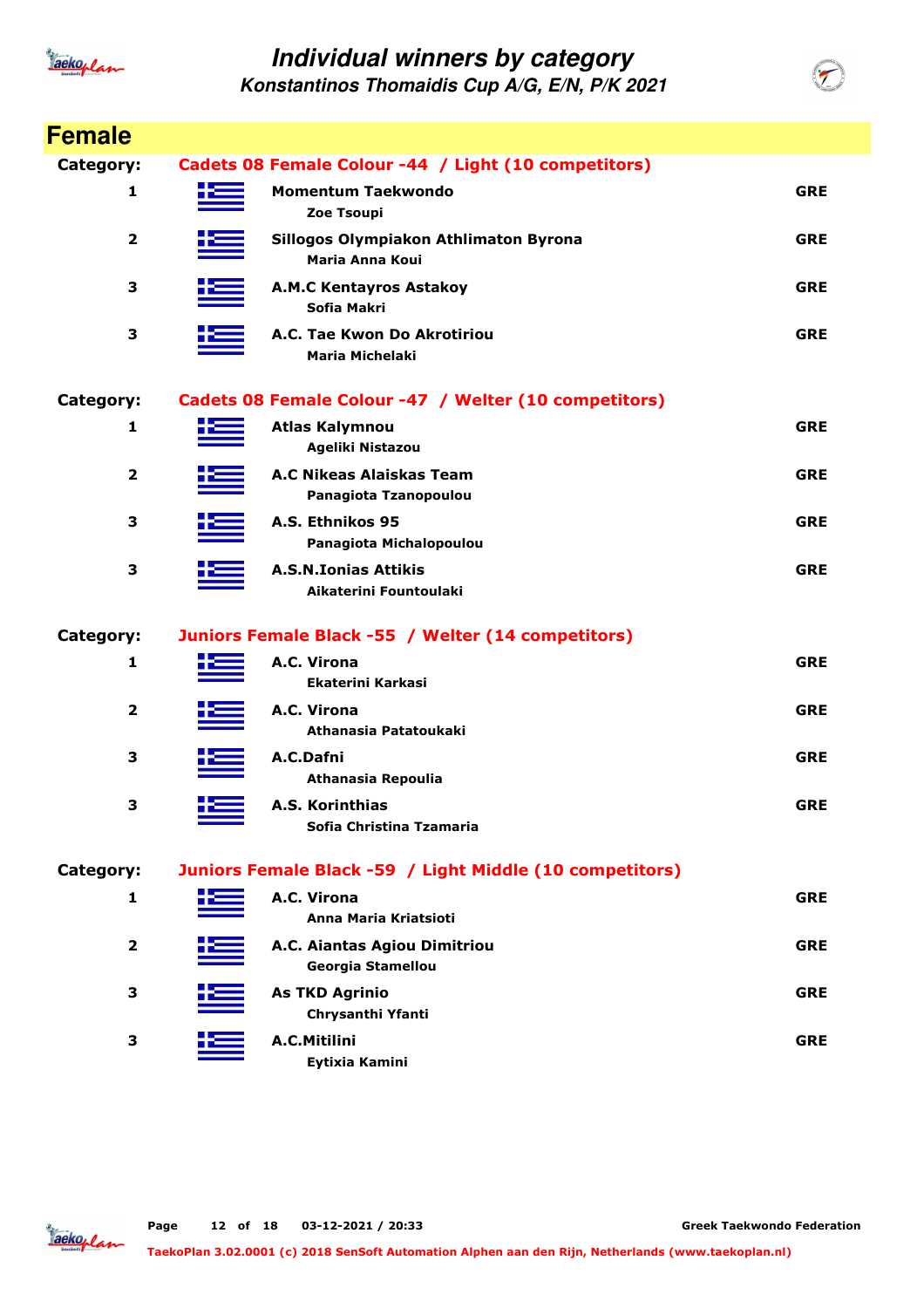

| <b>Female</b>  |   |                                                                 |            |
|----------------|---|-----------------------------------------------------------------|------------|
| Category:      |   | Cadets 08 Female Colour -44 / Light (10 competitors)            |            |
| 1              | æ | <b>Momentum Taekwondo</b><br>Zoe Tsoupi                         | <b>GRE</b> |
| 2              |   | Sillogos Olympiakon Athlimaton Byrona<br><b>Maria Anna Koui</b> | <b>GRE</b> |
| 3              |   | <b>A.M.C Kentayros Astakoy</b><br>Sofia Makri                   | <b>GRE</b> |
| 3              |   | A.C. Tae Kwon Do Akrotiriou<br><b>Maria Michelaki</b>           | <b>GRE</b> |
| Category:      |   | Cadets 08 Female Colour -47 / Welter (10 competitors)           |            |
| 1              |   | <b>Atlas Kalymnou</b><br>Ageliki Nistazou                       | <b>GRE</b> |
| $\overline{2}$ |   | A.C Nikeas Alaiskas Team<br>Panagiota Tzanopoulou               | <b>GRE</b> |
| 3              |   | A.S. Ethnikos 95<br>Panagiota Michalopoulou                     | <b>GRE</b> |
| 3              |   | <b>A.S.N.Ionias Attikis</b><br>Aikaterini Fountoulaki           | <b>GRE</b> |
| Category:      |   | Juniors Female Black -55 / Welter (14 competitors)              |            |
| 1              |   | A.C. Virona<br><b>Ekaterini Karkasi</b>                         | <b>GRE</b> |
| 2              |   | A.C. Virona<br>Athanasia Patatoukaki                            | <b>GRE</b> |
| 3              |   | A.C.Dafni<br>Athanasia Repoulia                                 | <b>GRE</b> |
| 3              |   | A.S. Korinthias<br>Sofia Christina Tzamaria                     | <b>GRE</b> |
| Category:      |   | Juniors Female Black -59 / Light Middle (10 competitors)        |            |
| 1              |   | A.C. Virona<br>Anna Maria Kriatsioti                            | <b>GRE</b> |
| $\overline{2}$ |   | A.C. Aiantas Agiou Dimitriou<br>Georgia Stamellou               | <b>GRE</b> |
| 3              |   | <b>As TKD Agrinio</b><br>Chrysanthi Yfanti                      | <b>GRE</b> |
| 3              |   | A.C.Mitilini<br>Eytixia Kamini                                  | <b>GRE</b> |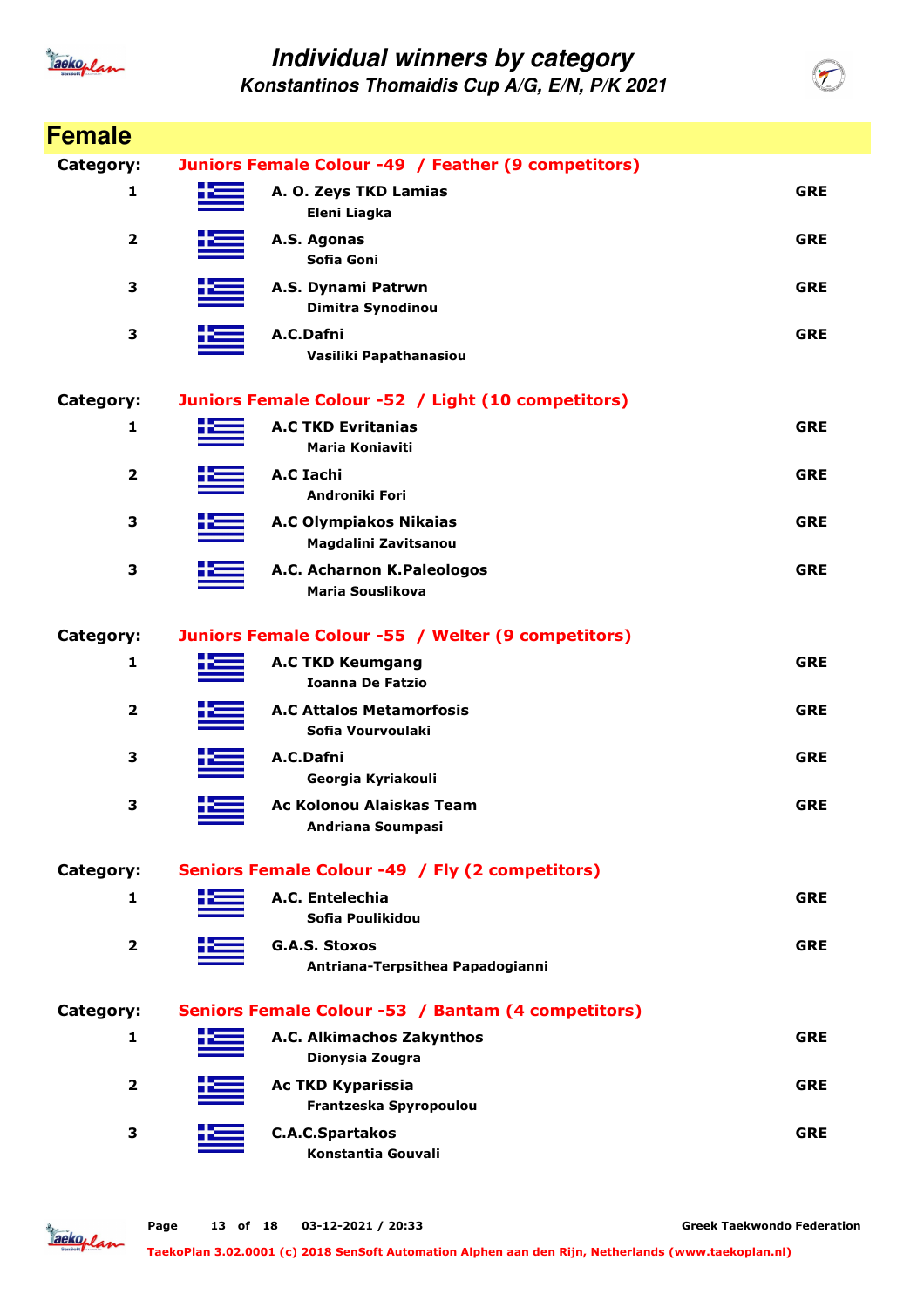

**Konstantinos Thomaidis Cup A/G, E/N, P/K 2021**

| <b>Female</b>           |                                                     |                                                          |            |  |
|-------------------------|-----------------------------------------------------|----------------------------------------------------------|------------|--|
| Category:               | Juniors Female Colour -49 / Feather (9 competitors) |                                                          |            |  |
| 1                       | ک د                                                 | A. O. Zeys TKD Lamias<br>Eleni Liagka                    | <b>GRE</b> |  |
| $\overline{\mathbf{2}}$ |                                                     | A.S. Agonas<br>Sofia Goni                                | <b>GRE</b> |  |
| 3                       |                                                     | A.S. Dynami Patrwn<br>Dimitra Synodinou                  | <b>GRE</b> |  |
| 3                       |                                                     | A.C.Dafni<br>Vasiliki Papathanasiou                      | <b>GRE</b> |  |
| Category:               |                                                     | Juniors Female Colour -52 / Light (10 competitors)       |            |  |
| 1                       |                                                     | <b>A.C TKD Evritanias</b><br><b>Maria Koniaviti</b>      | <b>GRE</b> |  |
| 2                       |                                                     | A.C Iachi<br>Androniki Fori                              | <b>GRE</b> |  |
| 3                       |                                                     | <b>A.C Olympiakos Nikaias</b><br>Magdalini Zavitsanou    | <b>GRE</b> |  |
| 3                       |                                                     | A.C. Acharnon K.Paleologos<br><b>Maria Souslikova</b>    | <b>GRE</b> |  |
| Category:               |                                                     | Juniors Female Colour -55 / Welter (9 competitors)       |            |  |
| 1                       |                                                     | <b>A.C TKD Keumgang</b><br><b>Ioanna De Fatzio</b>       | <b>GRE</b> |  |
| $\overline{\mathbf{2}}$ |                                                     | <b>A.C Attalos Metamorfosis</b><br>Sofia Vourvoulaki     | <b>GRE</b> |  |
| З                       |                                                     | A.C.Dafni<br>Georgia Kyriakouli                          | <b>GRE</b> |  |
| 3                       |                                                     | Ac Kolonou Alaiskas Team<br>Andriana Soumpasi            | <b>GRE</b> |  |
| Category:               |                                                     | Seniors Female Colour -49 / Fly (2 competitors)          |            |  |
| 1                       |                                                     | A.C. Entelechia<br>Sofia Poulikidou                      | <b>GRE</b> |  |
| 2                       |                                                     | <b>G.A.S. Stoxos</b><br>Antriana-Terpsithea Papadogianni | <b>GRE</b> |  |
| Category:               |                                                     | Seniors Female Colour -53 / Bantam (4 competitors)       |            |  |
| 1                       |                                                     | A.C. Alkimachos Zakynthos<br>Dionysia Zougra             | <b>GRE</b> |  |
| 2                       |                                                     | <b>Ac TKD Kyparissia</b><br>Frantzeska Spyropoulou       | <b>GRE</b> |  |
| 3                       |                                                     | <b>C.A.C.Spartakos</b><br>Konstantia Gouvali             | <b>GRE</b> |  |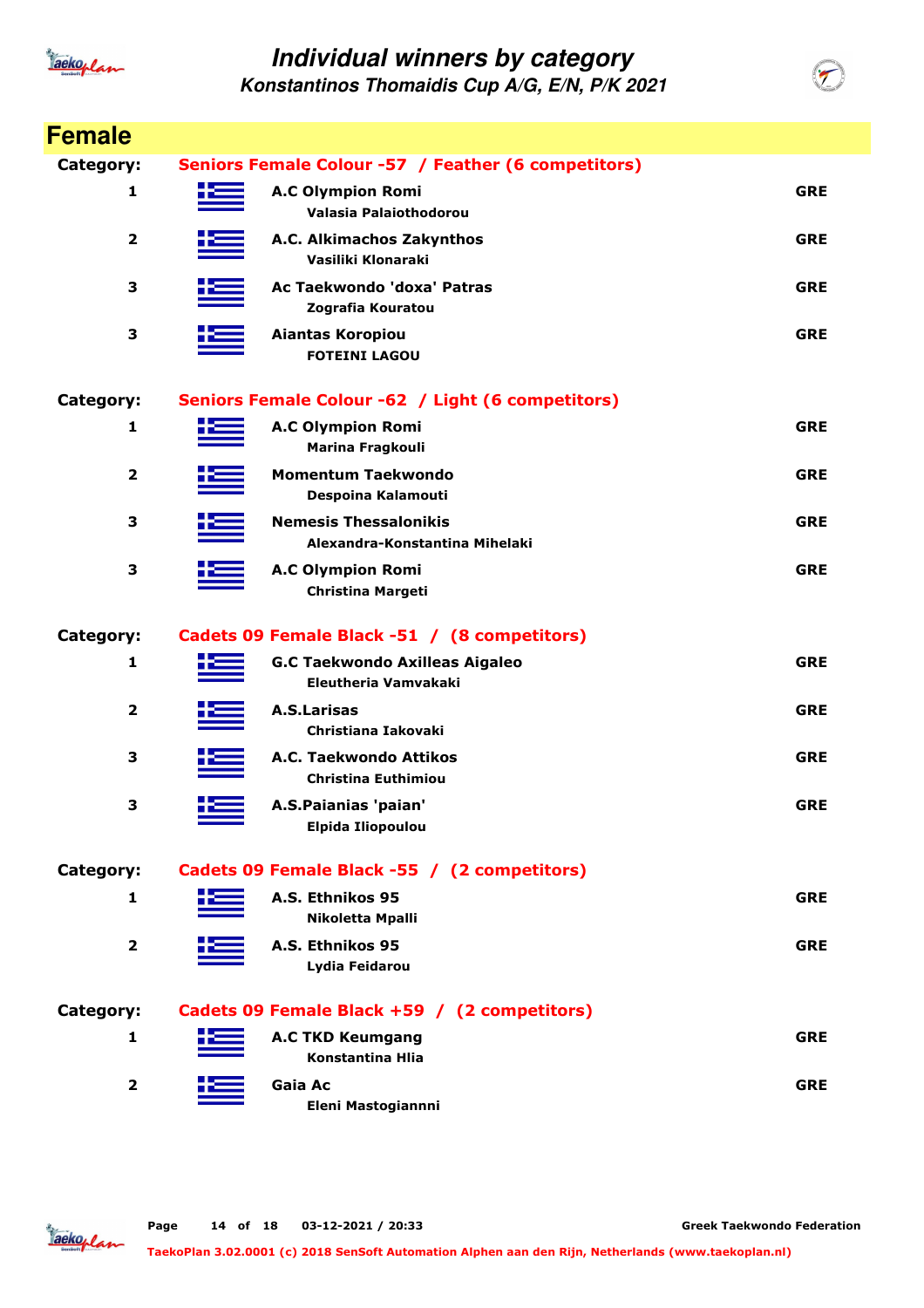

| <b>Female</b>           |     |                                                                |            |
|-------------------------|-----|----------------------------------------------------------------|------------|
| Category:               |     | Seniors Female Colour -57 / Feather (6 competitors)            |            |
| 1                       | 623 | <b>A.C Olympion Romi</b><br>Valasia Palaiothodorou             | <b>GRE</b> |
| $\overline{\mathbf{2}}$ |     | A.C. Alkimachos Zakynthos<br>Vasiliki Klonaraki                | <b>GRE</b> |
| 3                       |     | Ac Taekwondo 'doxa' Patras<br>Zografia Kouratou                | <b>GRE</b> |
| 3                       |     | Aiantas Koropiou<br><b>FOTEINI LAGOU</b>                       | <b>GRE</b> |
| Category:               |     | Seniors Female Colour -62 / Light (6 competitors)              |            |
| 1                       |     | <b>A.C Olympion Romi</b><br>Marina Fragkouli                   | <b>GRE</b> |
| $\overline{2}$          |     | <b>Momentum Taekwondo</b><br>Despoina Kalamouti                | <b>GRE</b> |
| 3                       |     | <b>Nemesis Thessalonikis</b><br>Alexandra-Konstantina Mihelaki | <b>GRE</b> |
| 3                       |     | <b>A.C Olympion Romi</b><br><b>Christina Margeti</b>           | <b>GRE</b> |
| Category:               |     | Cadets 09 Female Black -51 / (8 competitors)                   |            |
| 1                       |     | <b>G.C Taekwondo Axilleas Aigaleo</b><br>Eleutheria Vamvakaki  | <b>GRE</b> |
| $\overline{2}$          |     | <b>A.S.Larisas</b><br>Christiana Iakovaki                      | <b>GRE</b> |
| 3                       |     | A.C. Taekwondo Attikos<br>Christina Euthimiou                  | <b>GRE</b> |
| 3                       |     | A.S.Paianias 'paian'<br><b>Elpida Iliopoulou</b>               | <b>GRE</b> |
| Category:               |     | Cadets 09 Female Black -55 / (2 competitors)                   |            |
| 1                       |     | A.S. Ethnikos 95<br>Nikoletta Mpalli                           | <b>GRE</b> |
| $\overline{\mathbf{2}}$ |     | A.S. Ethnikos 95<br>Lydia Feidarou                             | <b>GRE</b> |
| Category:               |     | Cadets 09 Female Black +59 / (2 competitors)                   |            |
| 1                       |     | <b>A.C TKD Keumgang</b><br><b>Konstantina Hlia</b>             | <b>GRE</b> |
| $\mathbf{2}$            |     | Gaia Ac<br>Eleni Mastogiannni                                  | <b>GRE</b> |

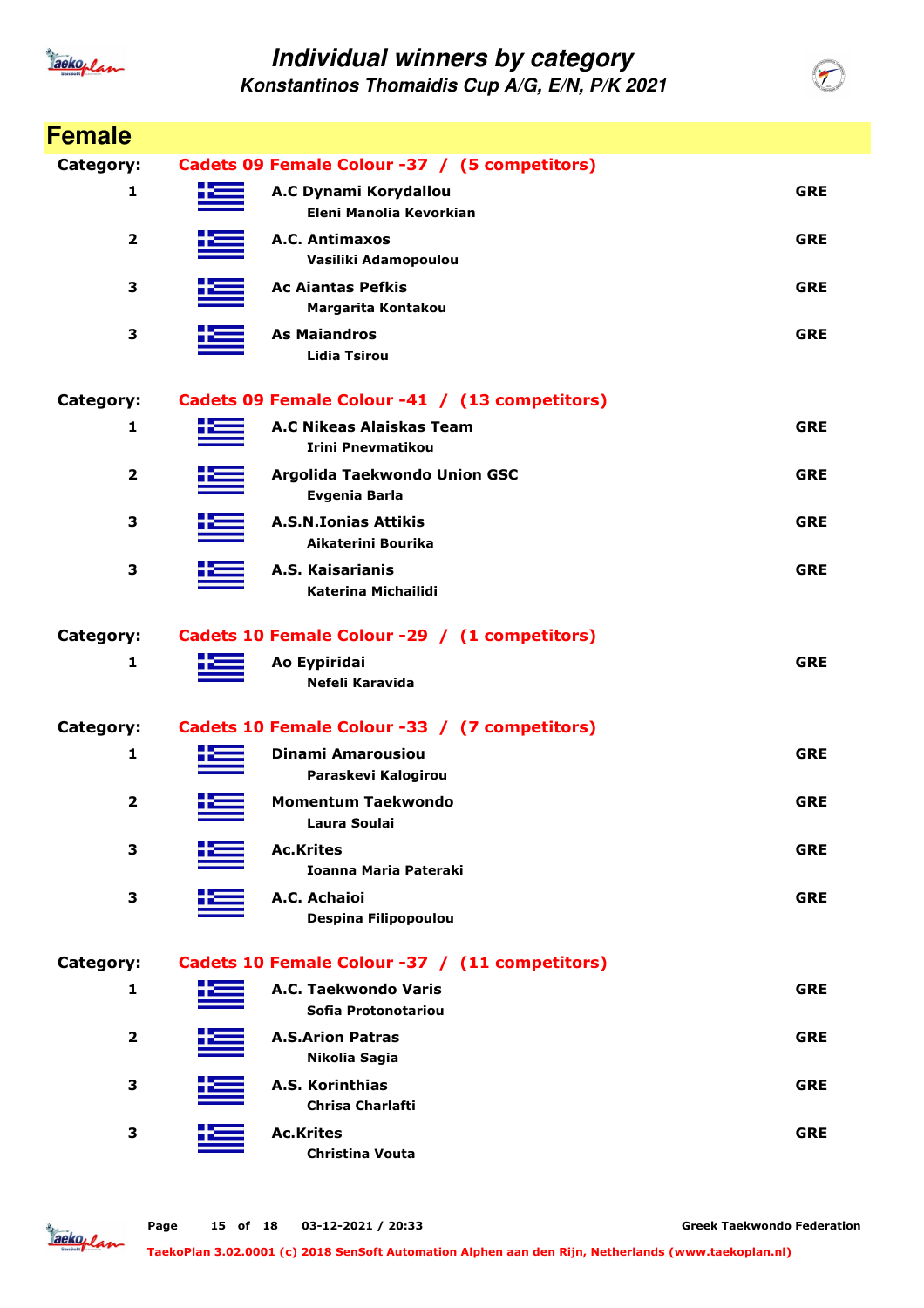

**Konstantinos Thomaidis Cup A/G, E/N, P/K 2021**

| <b>Female</b>           |                                                      |            |
|-------------------------|------------------------------------------------------|------------|
| Category:               | Cadets 09 Female Colour -37 / (5 competitors)        |            |
| 1                       | A.C Dynami Korydallou<br>Eleni Manolia Kevorkian     | <b>GRE</b> |
| $\overline{\mathbf{2}}$ | A.C. Antimaxos<br>Vasiliki Adamopoulou               | <b>GRE</b> |
| 3                       | <b>Ac Ajantas Pefkis</b><br>Margarita Kontakou       | <b>GRE</b> |
| 3                       | <b>As Maiandros</b><br><b>Lidia Tsirou</b>           | <b>GRE</b> |
| Category:               | Cadets 09 Female Colour -41 / (13 competitors)       |            |
| 1                       | A.C Nikeas Alaiskas Team<br><b>Irini Pnevmatikou</b> | <b>GRE</b> |
| 2                       | Argolida Taekwondo Union GSC<br>Evgenia Barla        | <b>GRE</b> |
| 3                       | <b>A.S.N.Ionias Attikis</b><br>Aikaterini Bourika    | <b>GRE</b> |
| 3                       | A.S. Kaisarianis<br><b>Katerina Michailidi</b>       | <b>GRE</b> |
| Category:               | Cadets 10 Female Colour -29 / (1 competitors)        |            |
| 1                       | Ao Eypiridai<br>Nefeli Karavida                      | <b>GRE</b> |
| Category:               | Cadets 10 Female Colour -33 / (7 competitors)        |            |
| 1                       | <b>Dinami Amarousiou</b><br>Paraskevi Kalogirou      | <b>GRE</b> |
| $\overline{2}$          | <b>Momentum Taekwondo</b><br>Laura Soulai            | <b>GRE</b> |
| 3                       | <b>Ac.Krites</b><br><b>Ioanna Maria Pateraki</b>     | <b>GRE</b> |
| 3                       | A.C. Achaioi<br>Despina Filipopoulou                 | <b>GRE</b> |
| Category:               | Cadets 10 Female Colour -37 / (11 competitors)       |            |
| 1                       | A.C. Taekwondo Varis<br>Sofia Protonotariou          | <b>GRE</b> |
| 2                       | <b>A.S.Arion Patras</b><br>Nikolia Sagia             | <b>GRE</b> |
| 3                       | A.S. Korinthias<br><b>Chrisa Charlafti</b>           | <b>GRE</b> |
| З                       | <b>Ac.Krites</b><br>Christina Vouta                  | <b>GRE</b> |

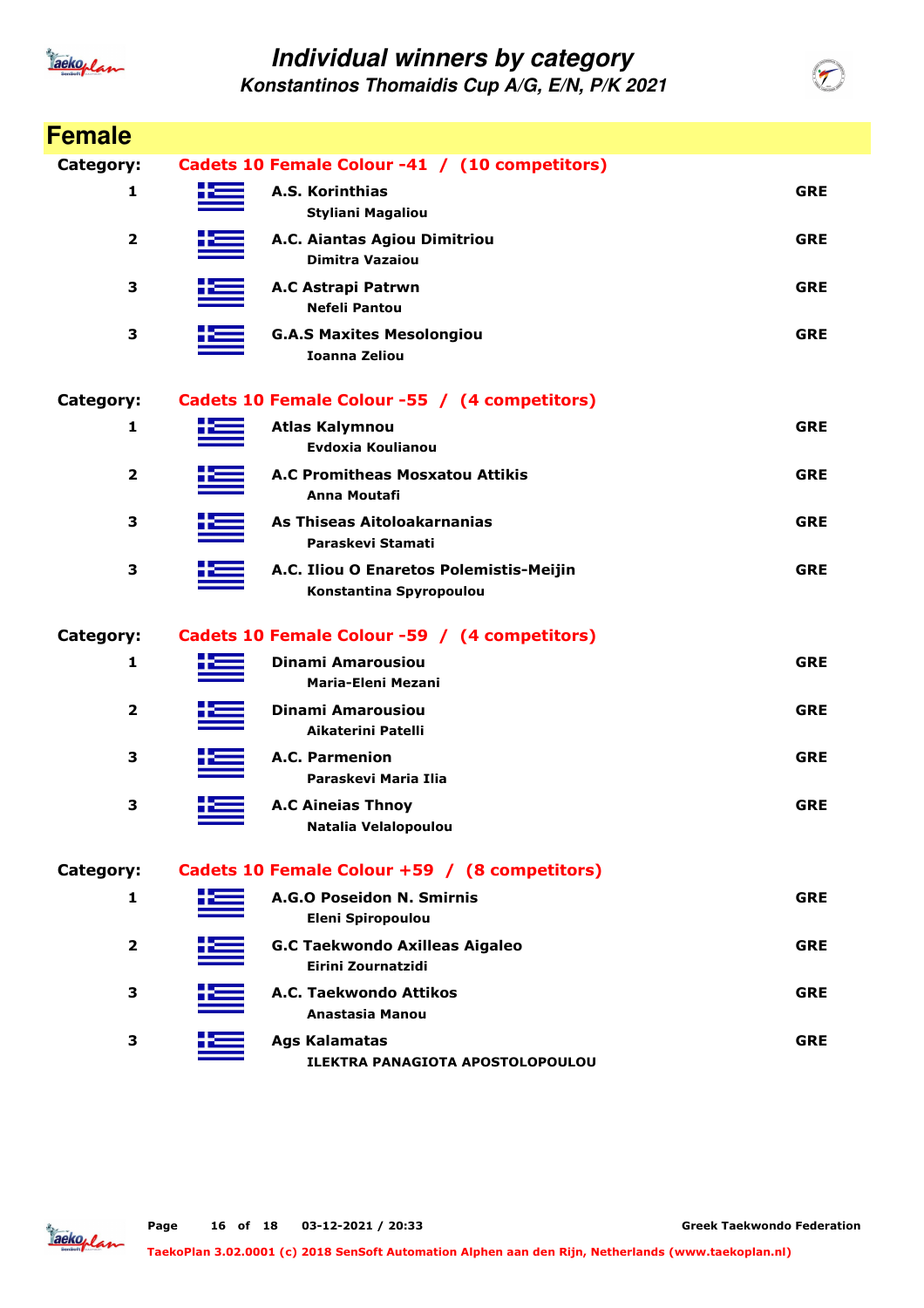

| <b>Female</b>           |                                                                    |            |
|-------------------------|--------------------------------------------------------------------|------------|
| Category:               | Cadets 10 Female Colour -41 / (10 competitors)                     |            |
| 1                       | A.S. Korinthias<br><b>Styliani Magaliou</b>                        | <b>GRE</b> |
| $\overline{\mathbf{2}}$ | A.C. Aiantas Agiou Dimitriou<br><b>Dimitra Vazaiou</b>             | <b>GRE</b> |
| 3                       | A.C Astrapi Patrwn<br><b>Nefeli Pantou</b>                         | <b>GRE</b> |
| 3                       | <b>G.A.S Maxites Mesolongiou</b><br><b>Ioanna Zeliou</b>           | <b>GRE</b> |
| Category:               | Cadets 10 Female Colour -55 / (4 competitors)                      |            |
| 1                       | <b>Atlas Kalymnou</b><br>Evdoxia Koulianou                         | <b>GRE</b> |
| $\overline{2}$          | <b>A.C Promitheas Mosxatou Attikis</b><br>Anna Moutafi             | <b>GRE</b> |
| 3                       | As Thiseas Aitoloakarnanias<br>Paraskevi Stamati                   | <b>GRE</b> |
| 3                       | A.C. Iliou O Enaretos Polemistis-Meijin<br>Konstantina Spyropoulou | <b>GRE</b> |
| Category:               | Cadets 10 Female Colour -59 / (4 competitors)                      |            |
| 1                       | <b>Dinami Amarousiou</b><br><b>Maria-Eleni Mezani</b>              | <b>GRE</b> |
| $\overline{2}$          | <b>Dinami Amarousiou</b><br>Aikaterini Patelli                     | <b>GRE</b> |
| 3                       | A.C. Parmenion<br>Paraskevi Maria Ilia                             | <b>GRE</b> |
| 3                       | <b>A.C Aineias Thnoy</b><br>Natalia Velalopoulou                   | <b>GRE</b> |
| Category:               | Cadets 10 Female Colour +59 / (8 competitors)                      |            |
| 1                       | A.G.O Poseidon N. Smirnis<br><b>Eleni Spiropoulou</b>              | <b>GRE</b> |
| $\overline{2}$          | <b>G.C Taekwondo Axilleas Aigaleo</b><br>Eirini Zournatzidi        | <b>GRE</b> |
| З                       | A.C. Taekwondo Attikos<br>Anastasia Manou                          | <b>GRE</b> |
| 3                       | <b>Ags Kalamatas</b><br>ILEKTRA PANAGIOTA APOSTOLOPOULOU           | <b>GRE</b> |

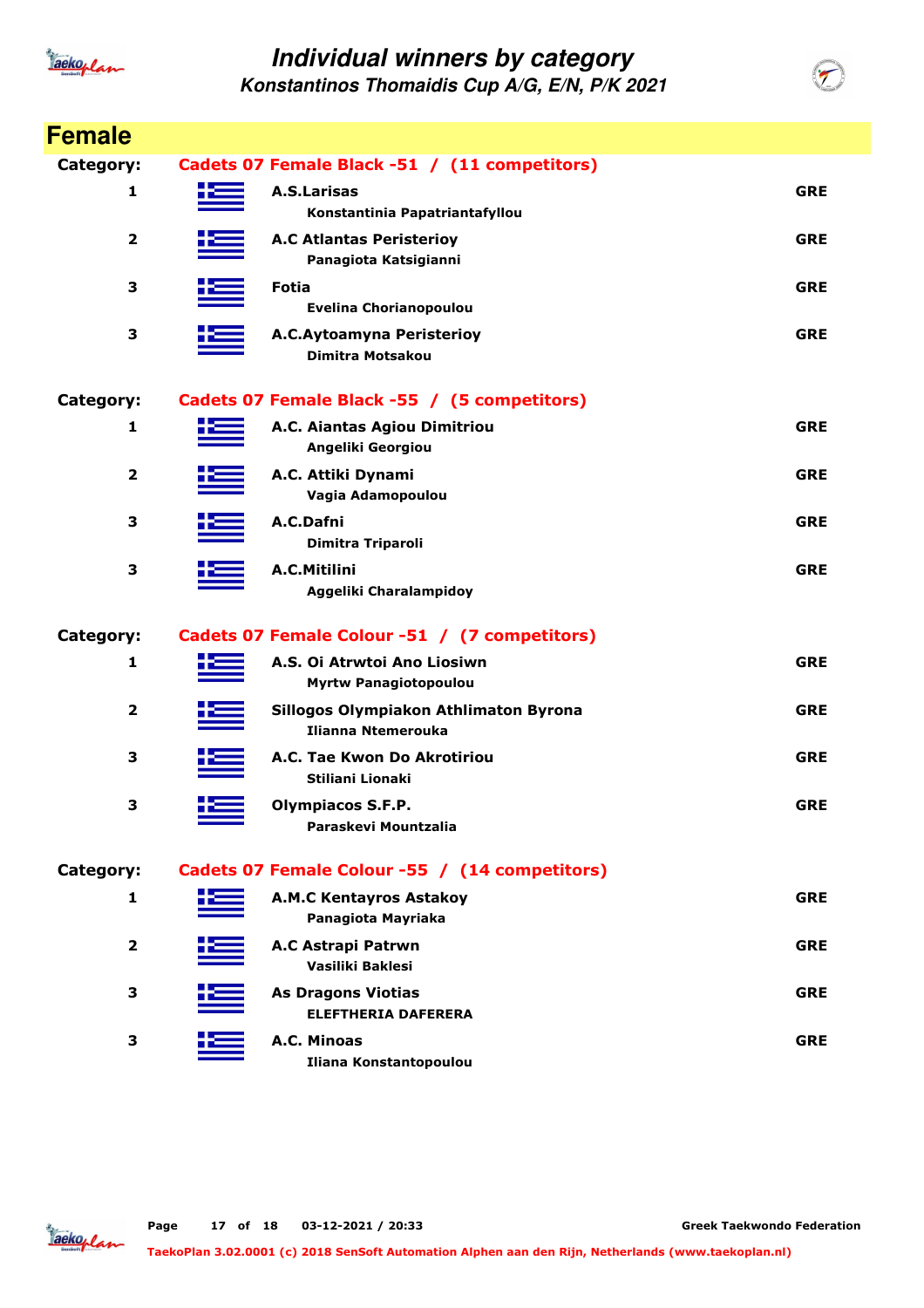

| <b>Female</b>           |                                                             |            |
|-------------------------|-------------------------------------------------------------|------------|
| Category:               | Cadets 07 Female Black -51 / (11 competitors)               |            |
| 1                       | <b>A.S.Larisas</b><br>Konstantinia Papatriantafyllou        | <b>GRE</b> |
| $\overline{\mathbf{2}}$ | <b>A.C Atlantas Peristerioy</b><br>Panagiota Katsigianni    | <b>GRE</b> |
| 3                       | <b>Fotia</b><br><b>Evelina Chorianopoulou</b>               | <b>GRE</b> |
| 3                       | <b>A.C.Aytoamyna Peristerioy</b><br><b>Dimitra Motsakou</b> | <b>GRE</b> |
| Category:               | Cadets 07 Female Black -55 / (5 competitors)                |            |
| 1                       | A.C. Aiantas Agiou Dimitriou<br>Angeliki Georgiou           | <b>GRE</b> |
| 2                       | A.C. Attiki Dynami<br>Vagia Adamopoulou                     | <b>GRE</b> |
| 3                       | A.C.Dafni<br>Dimitra Triparoli                              | <b>GRE</b> |
| 3                       | A.C.Mitilini<br>Aggeliki Charalampidoy                      | <b>GRE</b> |
| Category:               | Cadets 07 Female Colour -51 / (7 competitors)               |            |
| 1                       | A.S. Oi Atrwtoi Ano Liosiwn<br><b>Myrtw Panagiotopoulou</b> | <b>GRE</b> |
| 2                       | Sillogos Olympiakon Athlimaton Byrona<br>Ilianna Ntemerouka | <b>GRE</b> |
| 3                       | A.C. Tae Kwon Do Akrotiriou<br>Stiliani Lionaki             | <b>GRE</b> |
| 3                       | <b>Olympiacos S.F.P.</b><br>Paraskevi Mountzalia            | <b>GRE</b> |
| Category:               | Cadets 07 Female Colour -55 / (14 competitors)              |            |
| 1                       | <b>A.M.C Kentayros Astakoy</b><br>Panagiota Mayriaka        | <b>GRE</b> |
| $\mathbf{2}$            | A.C Astrapi Patrwn<br>Vasiliki Baklesi                      | <b>GRE</b> |
| 3                       | <b>As Dragons Viotias</b><br><b>ELEFTHERIA DAFERERA</b>     | <b>GRE</b> |
| 3                       | A.C. Minoas<br>Iliana Konstantopoulou                       | <b>GRE</b> |